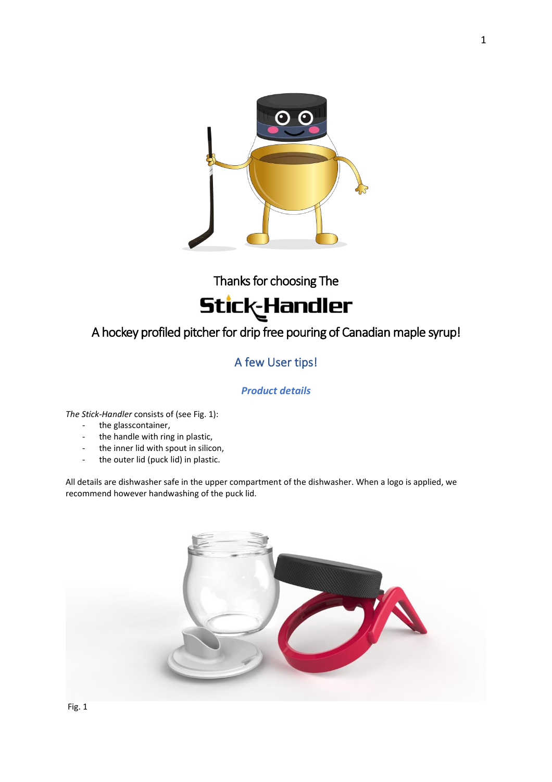

Thanks for choosing The



## A hockey profiled pitcher for drip free pouring of Canadian maple syrup!

## A few User tips!

### *Product details*

*The Stick-Handler* consists of (see Fig. 1):

- the glasscontainer,
- the handle with ring in plastic,
- the inner lid with spout in silicon,
- the outer lid (puck lid) in plastic.

All details are dishwasher safe in the upper compartment of the dishwasher. When a logo is applied, we recommend however handwashing of the puck lid.

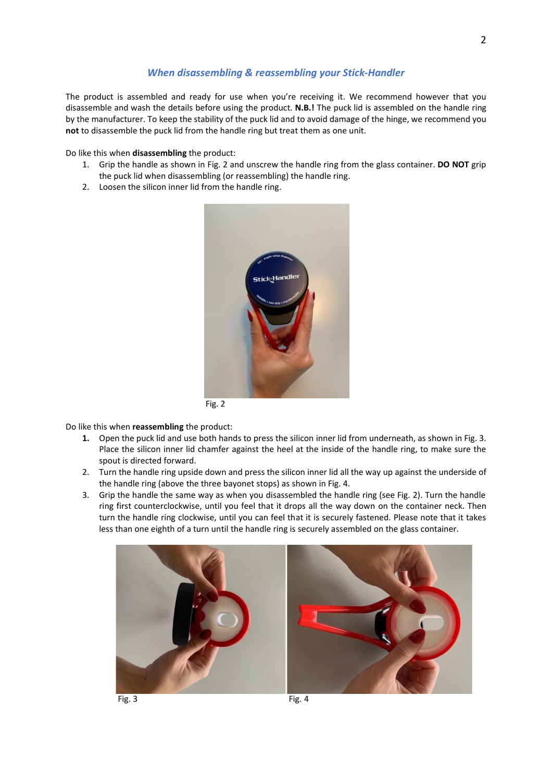#### *When disassembling & reassembling your Stick-Handler*

The product is assembled and ready for use when you're receiving it. We recommend however that you disassemble and wash the details before using the product. **N.B.!** The puck lid is assembled on the handle ring by the manufacturer. To keep the stability of the puck lid and to avoid damage of the hinge, we recommend you **not** to disassemble the puck lid from the handle ring but treat them as one unit.

Do like this when **disassembling** the product:

- 1. Grip the handle as shown in Fig. 2 and unscrew the handle ring from the glass container. **DO NOT** grip the puck lid when disassembling (or reassembling) the handle ring.
- 2. Loosen the silicon inner lid from the handle ring.



Fig. 2

#### Do like this when **reassembling** the product:

- **1.** Open the puck lid and use both hands to press the silicon inner lid from underneath, as shown in Fig. 3. Place the silicon inner lid chamfer against the heel at the inside of the handle ring, to make sure the spout is directed forward.
- 2. Turn the handle ring upside down and press the silicon inner lid all the way up against the underside of the handle ring (above the three bayonet stops) as shown in Fig. 4.
- 3. Grip the handle the same way as when you disassembled the handle ring (see Fig. 2). Turn the handle ring first counterclockwise, until you feel that it drops all the way down on the container neck. Then turn the handle ring clockwise, until you can feel that it is securely fastened. Please note that it takes less than one eighth of a turn until the handle ring is securely assembled on the glass container.





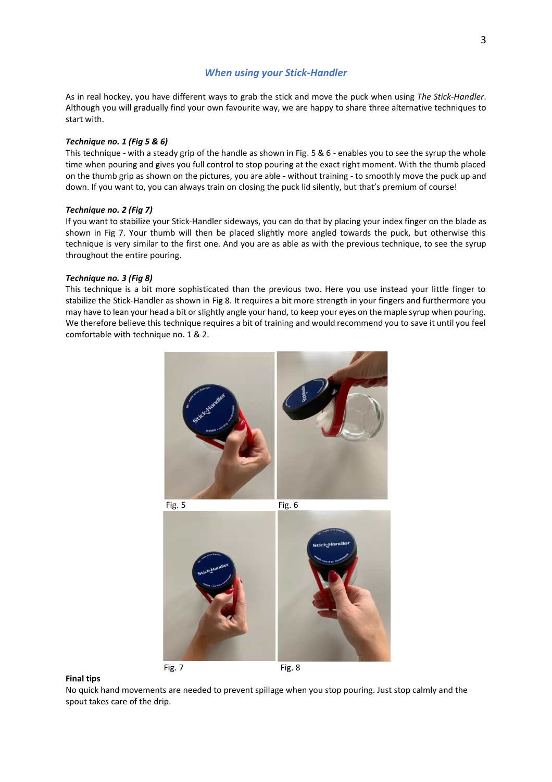#### *When using your Stick-Handler*

As in real hockey, you have different ways to grab the stick and move the puck when using *The Stick-Handler*. Although you will gradually find your own favourite way, we are happy to share three alternative techniques to start with.

#### *Technique no. 1 (Fig 5 & 6)*

This technique - with a steady grip of the handle as shown in Fig. 5 & 6 - enables you to see the syrup the whole time when pouring and gives you full control to stop pouring at the exact right moment. With the thumb placed on the thumb grip as shown on the pictures, you are able - without training - to smoothly move the puck up and down. If you want to, you can always train on closing the puck lid silently, but that's premium of course!

#### *Technique no. 2 (Fig 7)*

If you want to stabilize your Stick-Handler sideways, you can do that by placing your index finger on the blade as shown in Fig 7. Your thumb will then be placed slightly more angled towards the puck, but otherwise this technique is very similar to the first one. And you are as able as with the previous technique, to see the syrup throughout the entire pouring.

#### *Technique no. 3 (Fig 8)*

This technique is a bit more sophisticated than the previous two. Here you use instead your little finger to stabilize the Stick-Handler as shown in Fig 8. It requires a bit more strength in your fingers and furthermore you may have to lean your head a bit or slightly angle your hand, to keep your eyes on the maple syrup when pouring. We therefore believe this technique requires a bit of training and would recommend you to save it until you feel comfortable with technique no. 1 & 2.





Fig. 7 Fig. 8 **Final tips**

No quick hand movements are needed to prevent spillage when you stop pouring. Just stop calmly and the spout takes care of the drip.